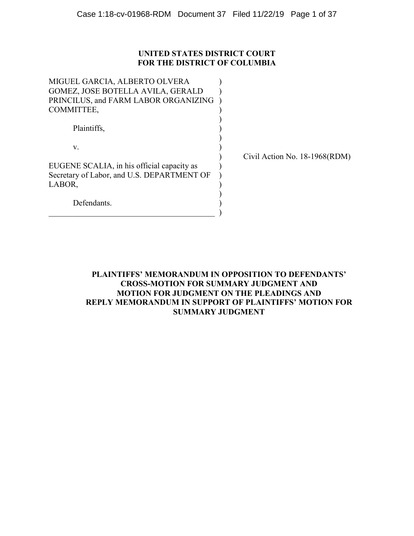# **UNITED STATES DISTRICT COURT FOR THE DISTRICT OF COLUMBIA**

| MIGUEL GARCIA, ALBERTO OLVERA              |  |
|--------------------------------------------|--|
| GOMEZ, JOSE BOTELLA AVILA, GERALD          |  |
| PRINCILUS, and FARM LABOR ORGANIZING       |  |
| COMMITTEE,                                 |  |
|                                            |  |
| Plaintiffs,                                |  |
|                                            |  |
| v.                                         |  |
|                                            |  |
| EUGENE SCALIA, in his official capacity as |  |
| Secretary of Labor, and U.S. DEPARTMENT OF |  |
| LABOR,                                     |  |
|                                            |  |
| Defendants.                                |  |
|                                            |  |

) Civil Action No. 18-1968(RDM)

**PLAINTIFFS' MEMORANDUM IN OPPOSITION TO DEFENDANTS' CROSS-MOTION FOR SUMMARY JUDGMENT AND MOTION FOR JUDGMENT ON THE PLEADINGS AND REPLY MEMORANDUM IN SUPPORT OF PLAINTIFFS' MOTION FOR SUMMARY JUDGMENT**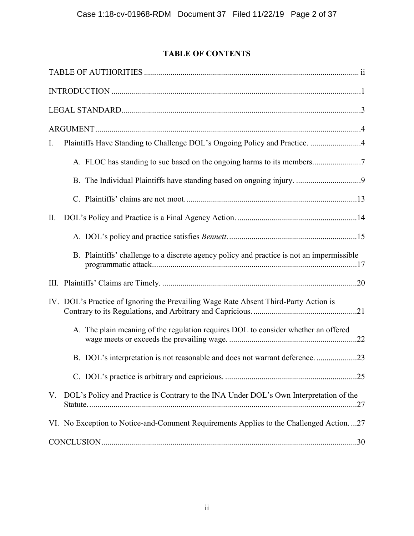# **TABLE OF CONTENTS**

| Plaintiffs Have Standing to Challenge DOL's Ongoing Policy and Practice. 4<br>Ι.             |  |
|----------------------------------------------------------------------------------------------|--|
|                                                                                              |  |
|                                                                                              |  |
|                                                                                              |  |
| П.                                                                                           |  |
|                                                                                              |  |
| B. Plaintiffs' challenge to a discrete agency policy and practice is not an impermissible    |  |
|                                                                                              |  |
| IV. DOL's Practice of Ignoring the Prevailing Wage Rate Absent Third-Party Action is         |  |
| A. The plain meaning of the regulation requires DOL to consider whether an offered           |  |
| B. DOL's interpretation is not reasonable and does not warrant deference23                   |  |
|                                                                                              |  |
| DOL's Policy and Practice is Contrary to the INA Under DOL's Own Interpretation of the<br>V. |  |
| VI. No Exception to Notice-and-Comment Requirements Applies to the Challenged Action. 27     |  |
|                                                                                              |  |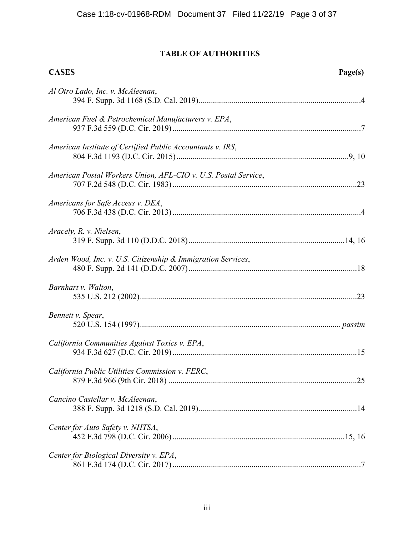# **TABLE OF AUTHORITIES**

| <b>CASES</b>                                                   | Page(s) |
|----------------------------------------------------------------|---------|
| Al Otro Lado, Inc. v. McAleenan,                               |         |
| American Fuel & Petrochemical Manufacturers v. EPA,            |         |
| American Institute of Certified Public Accountants v. IRS,     |         |
| American Postal Workers Union, AFL-CIO v. U.S. Postal Service, |         |
| Americans for Safe Access v. DEA,                              |         |
| Aracely, R. v. Nielsen,                                        |         |
| Arden Wood, Inc. v. U.S. Citizenship & Immigration Services,   |         |
| Barnhart v. Walton,                                            |         |
| Bennett v. Spear,                                              |         |
| California Communities Against Toxics v. EPA,                  |         |
| California Public Utilities Commission v. FERC,                |         |
| Cancino Castellar v. McAleenan,                                |         |
| Center for Auto Safety v. NHTSA,                               |         |
| Center for Biological Diversity v. EPA,                        |         |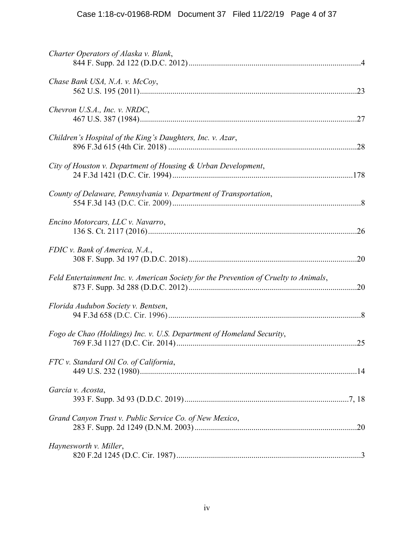| Charter Operators of Alaska v. Blank,                                                 |  |
|---------------------------------------------------------------------------------------|--|
| Chase Bank USA, N.A. v. McCoy,                                                        |  |
| Chevron U.S.A., Inc. v. NRDC,                                                         |  |
| Children's Hospital of the King's Daughters, Inc. v. Azar,                            |  |
| City of Houston v. Department of Housing & Urban Development,                         |  |
| County of Delaware, Pennsylvania v. Department of Transportation,                     |  |
| Encino Motorcars, LLC v. Navarro,                                                     |  |
| FDIC v. Bank of America, N.A.,                                                        |  |
| Feld Entertainment Inc. v. American Society for the Prevention of Cruelty to Animals, |  |
| Florida Audubon Society v. Bentsen,                                                   |  |
| Fogo de Chao (Holdings) Inc. v. U.S. Department of Homeland Security,                 |  |
| FTC v. Standard Oil Co. of California,                                                |  |
| Garcia v. Acosta,                                                                     |  |
| Grand Canyon Trust v. Public Service Co. of New Mexico,                               |  |
| Haynesworth v. Miller,                                                                |  |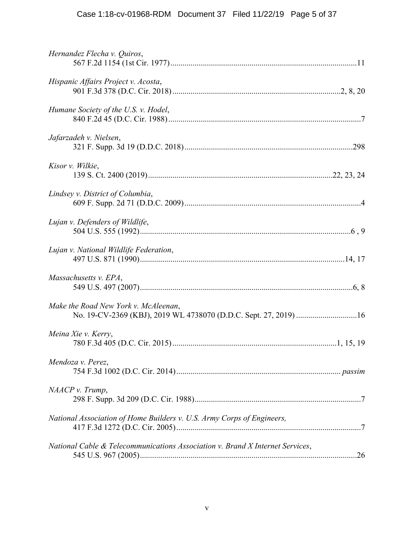| Hernandez Flecha v. Quiros,                                                   |
|-------------------------------------------------------------------------------|
| Hispanic Affairs Project v. Acosta,                                           |
| Humane Society of the U.S. v. Hodel,                                          |
| Jafarzadeh v. Nielsen,                                                        |
| Kisor v. Wilkie,                                                              |
| Lindsey v. District of Columbia,                                              |
| Lujan v. Defenders of Wildlife,                                               |
| Lujan v. National Wildlife Federation,                                        |
| Massachusetts v. EPA,                                                         |
| Make the Road New York v. McAleenan,                                          |
| Meina Xie v. Kerry,                                                           |
| Mendoza v. Perez,                                                             |
| NAACP v. Trump,                                                               |
| National Association of Home Builders v. U.S. Army Corps of Engineers,        |
| National Cable & Telecommunications Association v. Brand X Internet Services, |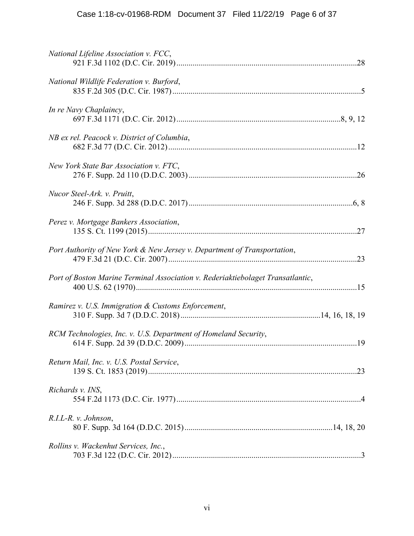| National Lifeline Association v. FCC,                                           |
|---------------------------------------------------------------------------------|
| National Wildlife Federation v. Burford,                                        |
| In re Navy Chaplaincy,                                                          |
| NB ex rel. Peacock v. District of Columbia,                                     |
| New York State Bar Association v. FTC,                                          |
| Nucor Steel-Ark. v. Pruitt,                                                     |
| Perez v. Mortgage Bankers Association,                                          |
| Port Authority of New York & New Jersey v. Department of Transportation,        |
| Port of Boston Marine Terminal Association v. Rederiaktiebolaget Transatlantic, |
| Ramirez v. U.S. Immigration & Customs Enforcement,                              |
| RCM Technologies, Inc. v. U.S. Department of Homeland Security,                 |
| Return Mail, Inc. v. U.S. Postal Service,                                       |
| Richards v. INS,                                                                |
| R.I.L-R. v. Johnson,                                                            |
| Rollins v. Wackenhut Services, Inc.,                                            |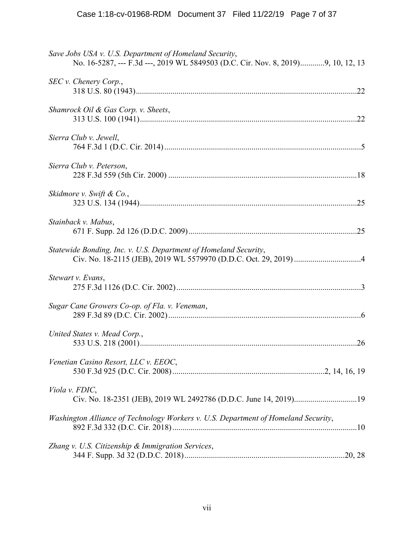| Save Jobs USA v. U.S. Department of Homeland Security,<br>No. 16-5287, --- F.3d ---, 2019 WL 5849503 (D.C. Cir. Nov. 8, 2019)9, 10, 12, 13 |
|--------------------------------------------------------------------------------------------------------------------------------------------|
| SEC v. Chenery Corp.,                                                                                                                      |
| Shamrock Oil & Gas Corp. v. Sheets,                                                                                                        |
| Sierra Club v. Jewell,                                                                                                                     |
| Sierra Club v. Peterson,                                                                                                                   |
| Skidmore v. Swift & Co.,                                                                                                                   |
| Stainback v. Mabus,                                                                                                                        |
| Statewide Bonding, Inc. v. U.S. Department of Homeland Security,                                                                           |
| Stewart v. Evans,                                                                                                                          |
| Sugar Cane Growers Co-op. of Fla. v. Veneman,                                                                                              |
| United States v. Mead Corp.,                                                                                                               |
| Venetian Casino Resort, LLC v. EEOC,                                                                                                       |
| Viola v. FDIC,                                                                                                                             |
| Washington Alliance of Technology Workers v. U.S. Department of Homeland Security,                                                         |
| Zhang v. U.S. Citizenship & Immigration Services,                                                                                          |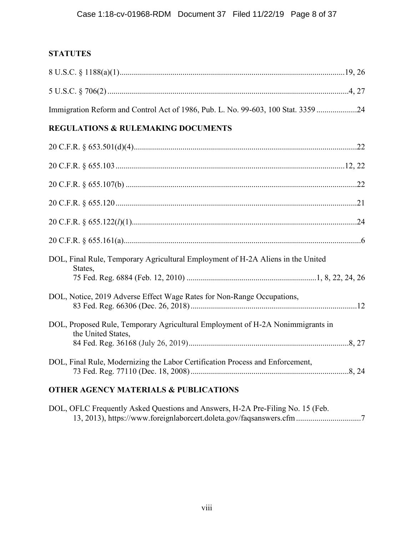# **STATUTES**

| Immigration Reform and Control Act of 1986, Pub. L. No. 99-603, 100 Stat. 3359 24                    |
|------------------------------------------------------------------------------------------------------|
| <b>REGULATIONS &amp; RULEMAKING DOCUMENTS</b>                                                        |
|                                                                                                      |
|                                                                                                      |
|                                                                                                      |
|                                                                                                      |
|                                                                                                      |
|                                                                                                      |
| DOL, Final Rule, Temporary Agricultural Employment of H-2A Aliens in the United<br>States,           |
|                                                                                                      |
| DOL, Notice, 2019 Adverse Effect Wage Rates for Non-Range Occupations,                               |
| DOL, Proposed Rule, Temporary Agricultural Employment of H-2A Nonimmigrants in<br>the United States, |
| DOL, Final Rule, Modernizing the Labor Certification Process and Enforcement,                        |
| <b>OTHER AGENCY MATERIALS &amp; PUBLICATIONS</b>                                                     |

DOL, OFLC Frequently Asked Questions and Answers, H-2A Pre-Filing No. 15 (Feb. 13, 2013), https://www.foreignlaborcert.doleta.gov/faqsanswers.cfm................................7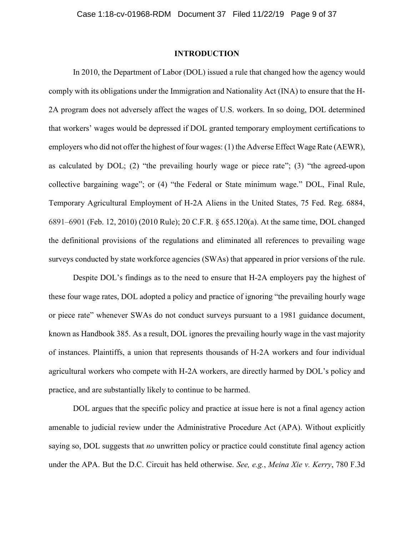#### **INTRODUCTION**

In 2010, the Department of Labor (DOL) issued a rule that changed how the agency would comply with its obligations under the Immigration and Nationality Act (INA) to ensure that the H-2A program does not adversely affect the wages of U.S. workers. In so doing, DOL determined that workers' wages would be depressed if DOL granted temporary employment certifications to employers who did not offer the highest of four wages: (1) the Adverse Effect Wage Rate (AEWR), as calculated by DOL; (2) "the prevailing hourly wage or piece rate"; (3) "the agreed-upon collective bargaining wage"; or (4) "the Federal or State minimum wage." DOL, Final Rule, Temporary Agricultural Employment of H-2A Aliens in the United States, 75 Fed. Reg. 6884, 6891–6901 (Feb. 12, 2010) (2010 Rule); 20 C.F.R. § 655.120(a). At the same time, DOL changed the definitional provisions of the regulations and eliminated all references to prevailing wage surveys conducted by state workforce agencies (SWAs) that appeared in prior versions of the rule.

Despite DOL's findings as to the need to ensure that H-2A employers pay the highest of these four wage rates, DOL adopted a policy and practice of ignoring "the prevailing hourly wage or piece rate" whenever SWAs do not conduct surveys pursuant to a 1981 guidance document, known as Handbook 385. As a result, DOL ignores the prevailing hourly wage in the vast majority of instances. Plaintiffs, a union that represents thousands of H-2A workers and four individual agricultural workers who compete with H-2A workers, are directly harmed by DOL's policy and practice, and are substantially likely to continue to be harmed.

DOL argues that the specific policy and practice at issue here is not a final agency action amenable to judicial review under the Administrative Procedure Act (APA). Without explicitly saying so, DOL suggests that *no* unwritten policy or practice could constitute final agency action under the APA. But the D.C. Circuit has held otherwise. *See, e.g.*, *Meina Xie v. Kerry*, 780 F.3d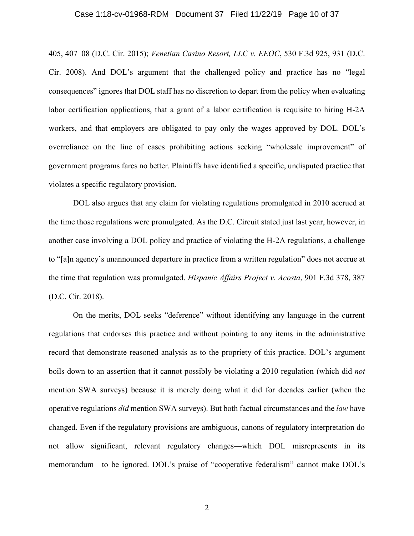#### Case 1:18-cv-01968-RDM Document 37 Filed 11/22/19 Page 10 of 37

405, 407–08 (D.C. Cir. 2015); *Venetian Casino Resort, LLC v. EEOC*, 530 F.3d 925, 931 (D.C. Cir. 2008). And DOL's argument that the challenged policy and practice has no "legal consequences" ignores that DOL staff has no discretion to depart from the policy when evaluating labor certification applications, that a grant of a labor certification is requisite to hiring H-2A workers, and that employers are obligated to pay only the wages approved by DOL. DOL's overreliance on the line of cases prohibiting actions seeking "wholesale improvement" of government programs fares no better. Plaintiffs have identified a specific, undisputed practice that violates a specific regulatory provision.

DOL also argues that any claim for violating regulations promulgated in 2010 accrued at the time those regulations were promulgated. As the D.C. Circuit stated just last year, however, in another case involving a DOL policy and practice of violating the H-2A regulations, a challenge to "[a]n agency's unannounced departure in practice from a written regulation" does not accrue at the time that regulation was promulgated. *Hispanic Affairs Project v. Acosta*, 901 F.3d 378, 387 (D.C. Cir. 2018).

On the merits, DOL seeks "deference" without identifying any language in the current regulations that endorses this practice and without pointing to any items in the administrative record that demonstrate reasoned analysis as to the propriety of this practice. DOL's argument boils down to an assertion that it cannot possibly be violating a 2010 regulation (which did *not* mention SWA surveys) because it is merely doing what it did for decades earlier (when the operative regulations *did* mention SWA surveys). But both factual circumstances and the *law* have changed. Even if the regulatory provisions are ambiguous, canons of regulatory interpretation do not allow significant, relevant regulatory changes—which DOL misrepresents in its memorandum—to be ignored. DOL's praise of "cooperative federalism" cannot make DOL's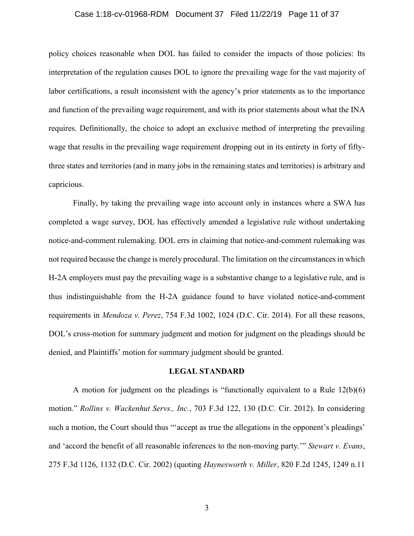#### Case 1:18-cv-01968-RDM Document 37 Filed 11/22/19 Page 11 of 37

policy choices reasonable when DOL has failed to consider the impacts of those policies: Its interpretation of the regulation causes DOL to ignore the prevailing wage for the vast majority of labor certifications, a result inconsistent with the agency's prior statements as to the importance and function of the prevailing wage requirement, and with its prior statements about what the INA requires. Definitionally, the choice to adopt an exclusive method of interpreting the prevailing wage that results in the prevailing wage requirement dropping out in its entirety in forty of fiftythree states and territories (and in many jobs in the remaining states and territories) is arbitrary and capricious.

Finally, by taking the prevailing wage into account only in instances where a SWA has completed a wage survey, DOL has effectively amended a legislative rule without undertaking notice-and-comment rulemaking. DOL errs in claiming that notice-and-comment rulemaking was not required because the change is merely procedural. The limitation on the circumstances in which H-2A employers must pay the prevailing wage is a substantive change to a legislative rule, and is thus indistinguishable from the H-2A guidance found to have violated notice-and-comment requirements in *Mendoza v. Perez*, 754 F.3d 1002, 1024 (D.C. Cir. 2014). For all these reasons, DOL's cross-motion for summary judgment and motion for judgment on the pleadings should be denied, and Plaintiffs' motion for summary judgment should be granted.

### **LEGAL STANDARD**

A motion for judgment on the pleadings is "functionally equivalent to a Rule 12(b)(6) motion." *Rollins v. Wackenhut Servs., Inc.*, 703 F.3d 122, 130 (D.C. Cir. 2012). In considering such a motion, the Court should thus "accept as true the allegations in the opponent's pleadings' and 'accord the benefit of all reasonable inferences to the non-moving party.'" *Stewart v. Evans*, 275 F.3d 1126, 1132 (D.C. Cir. 2002) (quoting *Haynesworth v. Miller*, 820 F.2d 1245, 1249 n.11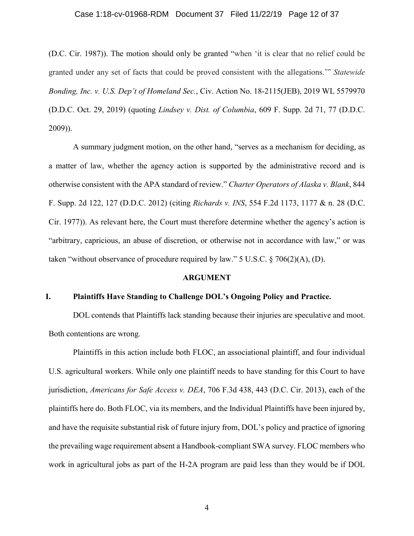#### Case 1:18-cv-01968-RDM Document 37 Filed 11/22/19 Page 12 of 37

(D.C. Cir. 1987)). The motion should only be granted "when 'it is clear that no relief could be granted under any set of facts that could be proved consistent with the allegations.'" *Statewide Bonding, Inc. v. U.S. Dep't of Homeland Sec.*, Civ. Action No. 18-2115(JEB), 2019 WL 5579970 (D.D.C. Oct. 29, 2019) (quoting *Lindsey v. Dist. of Columbia*, 609 F. Supp. 2d 71, 77 (D.D.C. 2009)).

A summary judgment motion, on the other hand, "serves as a mechanism for deciding, as a matter of law, whether the agency action is supported by the administrative record and is otherwise consistent with the APA standard of review." *Charter Operators of Alaska v. Blank*, 844 F. Supp. 2d 122, 127 (D.D.C. 2012) (citing *Richards v. INS*, 554 F.2d 1173, 1177 & n. 28 (D.C. Cir. 1977)). As relevant here, the Court must therefore determine whether the agency's action is "arbitrary, capricious, an abuse of discretion, or otherwise not in accordance with law," or was taken "without observance of procedure required by law." 5 U.S.C.  $\S$  706(2)(A), (D).

#### **ARGUMENT**

## **I. Plaintiffs Have Standing to Challenge DOL's Ongoing Policy and Practice.**

DOL contends that Plaintiffs lack standing because their injuries are speculative and moot. Both contentions are wrong.

Plaintiffs in this action include both FLOC, an associational plaintiff, and four individual U.S. agricultural workers. While only one plaintiff needs to have standing for this Court to have jurisdiction, *Americans for Safe Access v. DEA*, 706 F.3d 438, 443 (D.C. Cir. 2013), each of the plaintiffs here do. Both FLOC, via its members, and the Individual Plaintiffs have been injured by, and have the requisite substantial risk of future injury from, DOL's policy and practice of ignoring the prevailing wage requirement absent a Handbook-compliant SWA survey. FLOC members who work in agricultural jobs as part of the H-2A program are paid less than they would be if DOL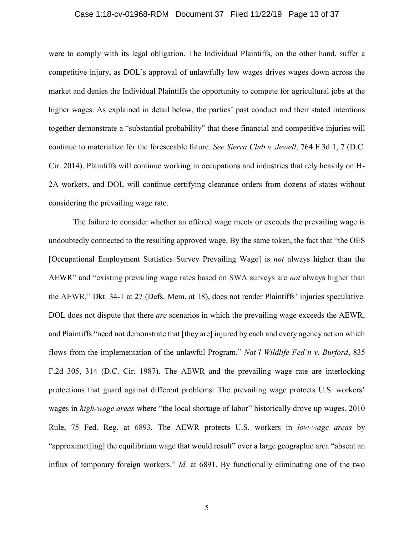#### Case 1:18-cv-01968-RDM Document 37 Filed 11/22/19 Page 13 of 37

were to comply with its legal obligation. The Individual Plaintiffs, on the other hand, suffer a competitive injury, as DOL's approval of unlawfully low wages drives wages down across the market and denies the Individual Plaintiffs the opportunity to compete for agricultural jobs at the higher wages. As explained in detail below, the parties' past conduct and their stated intentions together demonstrate a "substantial probability" that these financial and competitive injuries will continue to materialize for the foreseeable future. *See Sierra Club v. Jewell*, 764 F.3d 1, 7 (D.C. Cir. 2014). Plaintiffs will continue working in occupations and industries that rely heavily on H-2A workers, and DOL will continue certifying clearance orders from dozens of states without considering the prevailing wage rate.

The failure to consider whether an offered wage meets or exceeds the prevailing wage is undoubtedly connected to the resulting approved wage. By the same token, the fact that "the OES [Occupational Employment Statistics Survey Prevailing Wage] is *not* always higher than the AEWR" and "existing prevailing wage rates based on SWA surveys are *not* always higher than the AEWR," Dkt. 34-1 at 27 (Defs. Mem. at 18), does not render Plaintiffs' injuries speculative. DOL does not dispute that there *are* scenarios in which the prevailing wage exceeds the AEWR, and Plaintiffs "need not demonstrate that [they are] injured by each and every agency action which flows from the implementation of the unlawful Program." *Nat'l Wildlife Fed'n v. Burford*, 835 F.2d 305, 314 (D.C. Cir. 1987). The AEWR and the prevailing wage rate are interlocking protections that guard against different problems: The prevailing wage protects U.S. workers' wages in *high-wage areas* where "the local shortage of labor" historically drove up wages. 2010 Rule, 75 Fed. Reg. at 6893. The AEWR protects U.S. workers in *low-wage areas* by "approximat[ing] the equilibrium wage that would result" over a large geographic area "absent an influx of temporary foreign workers." *Id.* at 6891. By functionally eliminating one of the two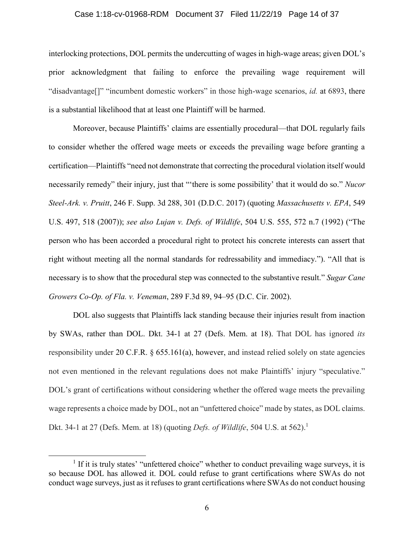#### Case 1:18-cv-01968-RDM Document 37 Filed 11/22/19 Page 14 of 37

interlocking protections, DOL permits the undercutting of wages in high-wage areas; given DOL's prior acknowledgment that failing to enforce the prevailing wage requirement will "disadvantage[]" "incumbent domestic workers" in those high-wage scenarios, *id.* at 6893, there is a substantial likelihood that at least one Plaintiff will be harmed.

Moreover, because Plaintiffs' claims are essentially procedural—that DOL regularly fails to consider whether the offered wage meets or exceeds the prevailing wage before granting a certification—Plaintiffs "need not demonstrate that correcting the procedural violation itself would necessarily remedy" their injury, just that "'there is some possibility' that it would do so." *Nucor Steel-Ark. v. Pruitt*, 246 F. Supp. 3d 288, 301 (D.D.C. 2017) (quoting *Massachusetts v. EPA*, 549 U.S. 497, 518 (2007)); *see also Lujan v. Defs. of Wildlife*, 504 U.S. 555, 572 n.7 (1992) ("The person who has been accorded a procedural right to protect his concrete interests can assert that right without meeting all the normal standards for redressability and immediacy."). "All that is necessary is to show that the procedural step was connected to the substantive result." *Sugar Cane Growers Co-Op. of Fla. v. Veneman*, 289 F.3d 89, 94–95 (D.C. Cir. 2002).

DOL also suggests that Plaintiffs lack standing because their injuries result from inaction by SWAs, rather than DOL. Dkt. 34-1 at 27 (Defs. Mem. at 18). That DOL has ignored *its* responsibility under 20 C.F.R. § 655.161(a), however, and instead relied solely on state agencies not even mentioned in the relevant regulations does not make Plaintiffs' injury "speculative." DOL's grant of certifications without considering whether the offered wage meets the prevailing wage represents a choice made by DOL, not an "unfettered choice" made by states, as DOL claims. Dkt. 34-1 at 27 (Defs. Mem. at 18) (quoting *Defs. of Wildlife*, 504 U.S. at 562). 1

 $<sup>1</sup>$  If it is truly states' "unfettered choice" whether to conduct prevailing wage surveys, it is</sup> so because DOL has allowed it. DOL could refuse to grant certifications where SWAs do not conduct wage surveys, just as it refuses to grant certifications where SWAs do not conduct housing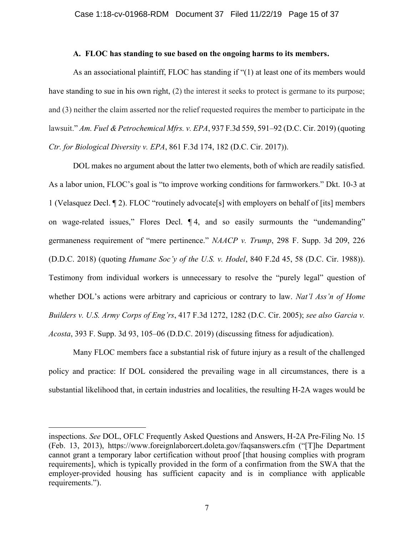#### **A. FLOC has standing to sue based on the ongoing harms to its members.**

As an associational plaintiff, FLOC has standing if "(1) at least one of its members would have standing to sue in his own right, (2) the interest it seeks to protect is germane to its purpose; and (3) neither the claim asserted nor the relief requested requires the member to participate in the lawsuit." *Am. Fuel & Petrochemical Mfrs. v. EPA*, 937 F.3d 559, 591–92 (D.C. Cir. 2019) (quoting *Ctr. for Biological Diversity v. EPA*, 861 F.3d 174, 182 (D.C. Cir. 2017)).

DOL makes no argument about the latter two elements, both of which are readily satisfied. As a labor union, FLOC's goal is "to improve working conditions for farmworkers." Dkt. 10-3 at 1 (Velasquez Decl. ¶ 2). FLOC "routinely advocate[s] with employers on behalf of [its] members on wage-related issues," Flores Decl. ¶ 4, and so easily surmounts the "undemanding" germaneness requirement of "mere pertinence." *NAACP v. Trump*, 298 F. Supp. 3d 209, 226 (D.D.C. 2018) (quoting *Humane Soc'y of the U.S. v. Hodel*, 840 F.2d 45, 58 (D.C. Cir. 1988)). Testimony from individual workers is unnecessary to resolve the "purely legal" question of whether DOL's actions were arbitrary and capricious or contrary to law. *Nat'l Ass'n of Home Builders v. U.S. Army Corps of Eng'rs*, 417 F.3d 1272, 1282 (D.C. Cir. 2005); *see also Garcia v. Acosta*, 393 F. Supp. 3d 93, 105–06 (D.D.C. 2019) (discussing fitness for adjudication).

Many FLOC members face a substantial risk of future injury as a result of the challenged policy and practice: If DOL considered the prevailing wage in all circumstances, there is a substantial likelihood that, in certain industries and localities, the resulting H-2A wages would be

inspections. *See* DOL, OFLC Frequently Asked Questions and Answers, H-2A Pre-Filing No. 15 (Feb. 13, 2013), https://www.foreignlaborcert.doleta.gov/faqsanswers.cfm ("[T]he Department cannot grant a temporary labor certification without proof [that housing complies with program requirements], which is typically provided in the form of a confirmation from the SWA that the employer-provided housing has sufficient capacity and is in compliance with applicable requirements.").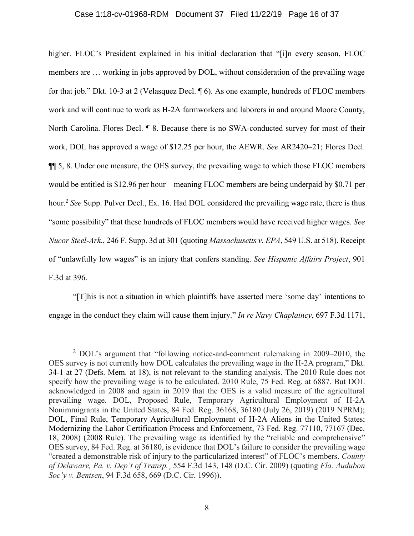#### Case 1:18-cv-01968-RDM Document 37 Filed 11/22/19 Page 16 of 37

higher. FLOC's President explained in his initial declaration that "[i]n every season, FLOC members are … working in jobs approved by DOL, without consideration of the prevailing wage for that job." Dkt. 10-3 at 2 (Velasquez Decl. ¶ 6). As one example, hundreds of FLOC members work and will continue to work as H-2A farmworkers and laborers in and around Moore County, North Carolina. Flores Decl. ¶ 8. Because there is no SWA-conducted survey for most of their work, DOL has approved a wage of \$12.25 per hour, the AEWR. *See* AR2420–21; Flores Decl. ¶¶ 5, 8. Under one measure, the OES survey, the prevailing wage to which those FLOC members would be entitled is \$12.96 per hour—meaning FLOC members are being underpaid by \$0.71 per hour.<sup>2</sup> *See* Supp. Pulver Decl., Ex. 16. Had DOL considered the prevailing wage rate, there is thus "some possibility" that these hundreds of FLOC members would have received higher wages. *See Nucor Steel-Ark.*, 246 F. Supp. 3d at 301 (quoting *Massachusetts v. EPA*, 549 U.S. at 518). Receipt of "unlawfully low wages" is an injury that confers standing. *See Hispanic Affairs Project*, 901 F.3d at 396.

"[T]his is not a situation in which plaintiffs have asserted mere 'some day' intentions to engage in the conduct they claim will cause them injury." *In re Navy Chaplaincy*, 697 F.3d 1171,

<sup>&</sup>lt;sup>2</sup> DOL's argument that "following notice-and-comment rulemaking in 2009–2010, the OES survey is not currently how DOL calculates the prevailing wage in the H-2A program," Dkt. 34-1 at 27 (Defs. Mem. at 18), is not relevant to the standing analysis. The 2010 Rule does not specify how the prevailing wage is to be calculated. 2010 Rule, 75 Fed. Reg. at 6887. But DOL acknowledged in 2008 and again in 2019 that the OES is a valid measure of the agricultural prevailing wage. DOL, Proposed Rule, Temporary Agricultural Employment of H-2A Nonimmigrants in the United States, 84 Fed. Reg. 36168, 36180 (July 26, 2019) (2019 NPRM); DOL, Final Rule, Temporary Agricultural Employment of H-2A Aliens in the United States; Modernizing the Labor Certification Process and Enforcement, 73 Fed. Reg. 77110, 77167 (Dec. 18, 2008) (2008 Rule). The prevailing wage as identified by the "reliable and comprehensive" OES survey, 84 Fed. Reg. at 36180, is evidence that DOL's failure to consider the prevailing wage "created a demonstrable risk of injury to the particularized interest" of FLOC's members. *County of Delaware, Pa. v. Dep't of Transp.*¸ 554 F.3d 143, 148 (D.C. Cir. 2009) (quoting *Fla. Audubon Soc'y v. Bentsen*, 94 F.3d 658, 669 (D.C. Cir. 1996)).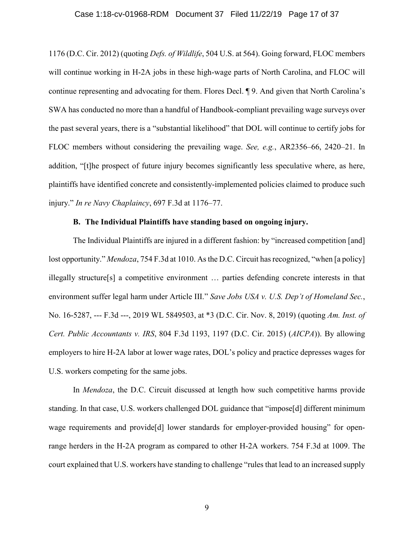#### Case 1:18-cv-01968-RDM Document 37 Filed 11/22/19 Page 17 of 37

1176 (D.C. Cir. 2012) (quoting *Defs. of Wildlife*, 504 U.S. at 564). Going forward, FLOC members will continue working in H-2A jobs in these high-wage parts of North Carolina, and FLOC will continue representing and advocating for them. Flores Decl. ¶ 9. And given that North Carolina's SWA has conducted no more than a handful of Handbook-compliant prevailing wage surveys over the past several years, there is a "substantial likelihood" that DOL will continue to certify jobs for FLOC members without considering the prevailing wage. *See, e.g.*, AR2356–66, 2420–21. In addition, "[t]he prospect of future injury becomes significantly less speculative where, as here, plaintiffs have identified concrete and consistently-implemented policies claimed to produce such injury." *In re Navy Chaplaincy*, 697 F.3d at 1176–77.

### **B. The Individual Plaintiffs have standing based on ongoing injury.**

The Individual Plaintiffs are injured in a different fashion: by "increased competition [and] lost opportunity." *Mendoza*, 754 F.3d at 1010. As the D.C. Circuit has recognized, "when [a policy] illegally structure[s] a competitive environment … parties defending concrete interests in that environment suffer legal harm under Article III." *Save Jobs USA v. U.S. Dep't of Homeland Sec.*, No. 16-5287, --- F.3d ---, 2019 WL 5849503, at \*3 (D.C. Cir. Nov. 8, 2019) (quoting *Am. Inst. of Cert. Public Accountants v. IRS*, 804 F.3d 1193, 1197 (D.C. Cir. 2015) (*AICPA*)). By allowing employers to hire H-2A labor at lower wage rates, DOL's policy and practice depresses wages for U.S. workers competing for the same jobs.

In *Mendoza*, the D.C. Circuit discussed at length how such competitive harms provide standing. In that case, U.S. workers challenged DOL guidance that "impose[d] different minimum wage requirements and provide[d] lower standards for employer-provided housing" for openrange herders in the H-2A program as compared to other H-2A workers. 754 F.3d at 1009. The court explained that U.S. workers have standing to challenge "rules that lead to an increased supply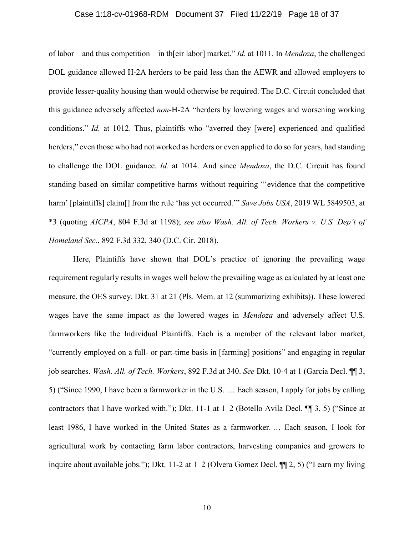#### Case 1:18-cv-01968-RDM Document 37 Filed 11/22/19 Page 18 of 37

of labor—and thus competition—in th[eir labor] market." *Id.* at 1011. In *Mendoza*, the challenged DOL guidance allowed H-2A herders to be paid less than the AEWR and allowed employers to provide lesser-quality housing than would otherwise be required. The D.C. Circuit concluded that this guidance adversely affected *non*-H-2A "herders by lowering wages and worsening working conditions." *Id.* at 1012. Thus, plaintiffs who "averred they [were] experienced and qualified herders," even those who had not worked as herders or even applied to do so for years, had standing to challenge the DOL guidance. *Id.* at 1014. And since *Mendoza*, the D.C. Circuit has found standing based on similar competitive harms without requiring "'evidence that the competitive harm' [plaintiffs] claim[] from the rule 'has yet occurred.'" *Save Jobs USA*, 2019 WL 5849503, at \*3 (quoting *AICPA*, 804 F.3d at 1198); *see also Wash. All. of Tech. Workers v. U.S. Dep't of Homeland Sec.*, 892 F.3d 332, 340 (D.C. Cir. 2018).

Here, Plaintiffs have shown that DOL's practice of ignoring the prevailing wage requirement regularly results in wages well below the prevailing wage as calculated by at least one measure, the OES survey. Dkt. 31 at 21 (Pls. Mem. at 12 (summarizing exhibits)). These lowered wages have the same impact as the lowered wages in *Mendoza* and adversely affect U.S. farmworkers like the Individual Plaintiffs. Each is a member of the relevant labor market, "currently employed on a full- or part-time basis in [farming] positions" and engaging in regular job searches. *Wash. All. of Tech. Workers*, 892 F.3d at 340. *See* Dkt. 10-4 at 1 (Garcia Decl. ¶¶ 3, 5) ("Since 1990, I have been a farmworker in the U.S. … Each season, I apply for jobs by calling contractors that I have worked with."); Dkt. 11-1 at 1–2 (Botello Avila Decl. ¶¶ 3, 5) ("Since at least 1986, I have worked in the United States as a farmworker. … Each season, I look for agricultural work by contacting farm labor contractors, harvesting companies and growers to inquire about available jobs."); Dkt. 11-2 at 1–2 (Olvera Gomez Decl. ¶¶ 2, 5) ("I earn my living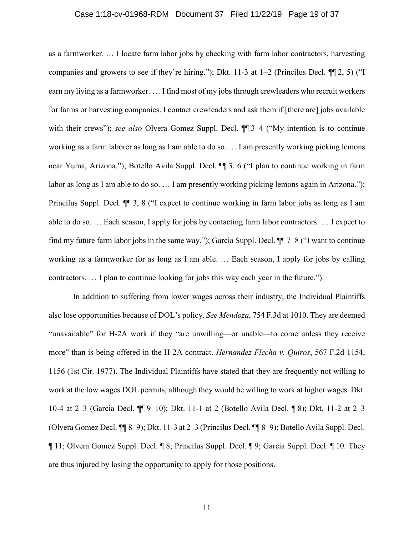#### Case 1:18-cv-01968-RDM Document 37 Filed 11/22/19 Page 19 of 37

as a farmworker. … I locate farm labor jobs by checking with farm labor contractors, harvesting companies and growers to see if they're hiring."); Dkt. 11-3 at 1–2 (Princilus Decl. ¶¶ 2, 5) ("I earn my living as a farmworker. … I find most of my jobs through crewleaders who recruit workers for farms or harvesting companies. I contact crewleaders and ask them if [there are] jobs available with their crews"); *see also* Olvera Gomez Suppl. Decl.  $\P$  3–4 ("My intention is to continue working as a farm laborer as long as I am able to do so. … I am presently working picking lemons near Yuma, Arizona."); Botello Avila Suppl. Decl. ¶¶ 3, 6 ("I plan to continue working in farm labor as long as I am able to do so. … I am presently working picking lemons again in Arizona."); Princilus Suppl. Decl. ¶¶ 3, 8 ("I expect to continue working in farm labor jobs as long as I am able to do so. … Each season, I apply for jobs by contacting farm labor contractors. … I expect to find my future farm labor jobs in the same way."); Garcia Suppl. Decl. ¶¶ 7–8 ("I want to continue working as a farmworker for as long as I am able. … Each season, I apply for jobs by calling contractors. … I plan to continue looking for jobs this way each year in the future.").

In addition to suffering from lower wages across their industry, the Individual Plaintiffs also lose opportunities because of DOL's policy. *See Mendoza*, 754 F.3d at 1010. They are deemed "unavailable" for H-2A work if they "are unwilling—or unable—to come unless they receive more" than is being offered in the H-2A contract. *Hernandez Flecha v. Quiros*, 567 F.2d 1154, 1156 (1st Cir. 1977). The Individual Plaintiffs have stated that they are frequently not willing to work at the low wages DOL permits, although they would be willing to work at higher wages. Dkt. 10-4 at 2–3 (Garcia Decl. ¶¶ 9–10); Dkt. 11-1 at 2 (Botello Avila Decl. ¶ 8); Dkt. 11-2 at 2–3 (Olvera Gomez Decl. ¶¶ 8–9); Dkt. 11-3 at 2–3 (Princilus Decl. ¶¶ 8–9); Botello Avila Suppl. Decl. ¶ 11; Olvera Gomez Suppl. Decl. ¶ 8; Princilus Suppl. Decl. ¶ 9; Garcia Suppl. Decl. ¶ 10. They are thus injured by losing the opportunity to apply for those positions.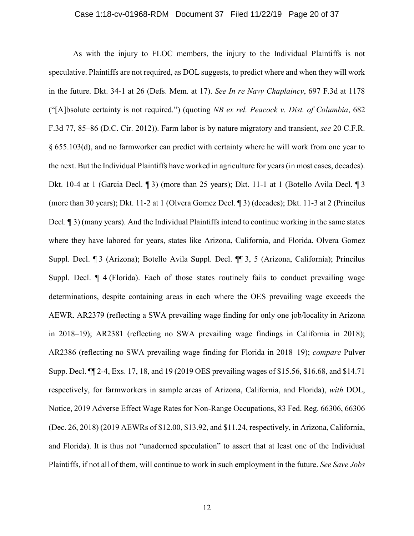#### Case 1:18-cv-01968-RDM Document 37 Filed 11/22/19 Page 20 of 37

As with the injury to FLOC members, the injury to the Individual Plaintiffs is not speculative. Plaintiffs are not required, as DOL suggests, to predict where and when they will work in the future. Dkt. 34-1 at 26 (Defs. Mem. at 17). *See In re Navy Chaplaincy*, 697 F.3d at 1178 ("[A]bsolute certainty is not required.") (quoting *NB ex rel. Peacock v. Dist. of Columbia*, 682 F.3d 77, 85–86 (D.C. Cir. 2012)). Farm labor is by nature migratory and transient, *see* 20 C.F.R. § 655.103(d), and no farmworker can predict with certainty where he will work from one year to the next. But the Individual Plaintiffs have worked in agriculture for years (in most cases, decades). Dkt. 10-4 at 1 (Garcia Decl. ¶ 3) (more than 25 years); Dkt. 11-1 at 1 (Botello Avila Decl. ¶ 3 (more than 30 years); Dkt. 11-2 at 1 (Olvera Gomez Decl. ¶ 3) (decades); Dkt. 11-3 at 2 (Princilus Decl. ¶ 3) (many years). And the Individual Plaintiffs intend to continue working in the same states where they have labored for years, states like Arizona, California, and Florida. Olvera Gomez Suppl. Decl. ¶ 3 (Arizona); Botello Avila Suppl. Decl. ¶¶ 3, 5 (Arizona, California); Princilus Suppl. Decl. ¶ 4 (Florida). Each of those states routinely fails to conduct prevailing wage determinations, despite containing areas in each where the OES prevailing wage exceeds the AEWR. AR2379 (reflecting a SWA prevailing wage finding for only one job/locality in Arizona in 2018–19); AR2381 (reflecting no SWA prevailing wage findings in California in 2018); AR2386 (reflecting no SWA prevailing wage finding for Florida in 2018–19); *compare* Pulver Supp. Decl. ¶¶ 2-4, Exs. 17, 18, and 19 (2019 OES prevailing wages of \$15.56, \$16.68, and \$14.71 respectively, for farmworkers in sample areas of Arizona, California, and Florida), *with* DOL, Notice, 2019 Adverse Effect Wage Rates for Non-Range Occupations, 83 Fed. Reg. 66306, 66306 (Dec. 26, 2018) (2019 AEWRs of \$12.00, \$13.92, and \$11.24, respectively, in Arizona, California, and Florida). It is thus not "unadorned speculation" to assert that at least one of the Individual Plaintiffs, if not all of them, will continue to work in such employment in the future. *See Save Jobs*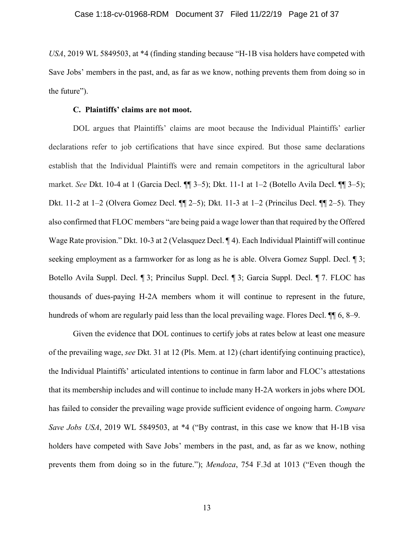*USA*, 2019 WL 5849503, at \*4 (finding standing because "H-1B visa holders have competed with Save Jobs' members in the past, and, as far as we know, nothing prevents them from doing so in the future").

### **C. Plaintiffs' claims are not moot.**

DOL argues that Plaintiffs' claims are moot because the Individual Plaintiffs' earlier declarations refer to job certifications that have since expired. But those same declarations establish that the Individual Plaintiffs were and remain competitors in the agricultural labor market. *See* Dkt. 10-4 at 1 (Garcia Decl. ¶¶ 3–5); Dkt. 11-1 at 1–2 (Botello Avila Decl. ¶¶ 3–5); Dkt. 11-2 at 1–2 (Olvera Gomez Decl. ¶¶ 2–5); Dkt. 11-3 at 1–2 (Princilus Decl. ¶¶ 2–5). They also confirmed that FLOC members "are being paid a wage lower than that required by the Offered Wage Rate provision." Dkt. 10-3 at 2 (Velasquez Decl. ¶ 4). Each Individual Plaintiff will continue seeking employment as a farmworker for as long as he is able. Olvera Gomez Suppl. Decl.  $\mathbb{I}$  3; Botello Avila Suppl. Decl. ¶ 3; Princilus Suppl. Decl. ¶ 3; Garcia Suppl. Decl. ¶ 7. FLOC has thousands of dues-paying H-2A members whom it will continue to represent in the future, hundreds of whom are regularly paid less than the local prevailing wage. Flores Decl. ¶¶ 6, 8–9.

Given the evidence that DOL continues to certify jobs at rates below at least one measure of the prevailing wage, *see* Dkt. 31 at 12 (Pls. Mem. at 12) (chart identifying continuing practice), the Individual Plaintiffs' articulated intentions to continue in farm labor and FLOC's attestations that its membership includes and will continue to include many H-2A workers in jobs where DOL has failed to consider the prevailing wage provide sufficient evidence of ongoing harm. *Compare Save Jobs USA*, 2019 WL 5849503, at \*4 ("By contrast, in this case we know that H-1B visa holders have competed with Save Jobs' members in the past, and, as far as we know, nothing prevents them from doing so in the future."); *Mendoza*, 754 F.3d at 1013 ("Even though the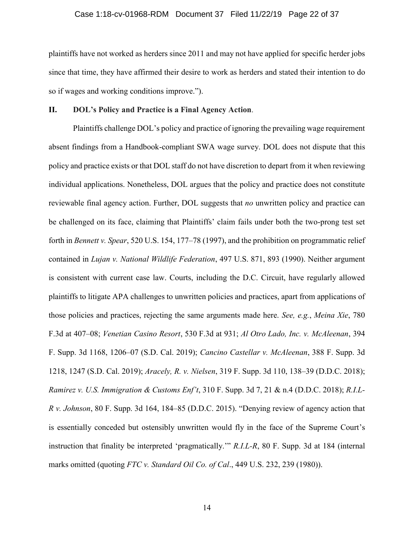#### Case 1:18-cv-01968-RDM Document 37 Filed 11/22/19 Page 22 of 37

plaintiffs have not worked as herders since 2011 and may not have applied for specific herder jobs since that time, they have affirmed their desire to work as herders and stated their intention to do so if wages and working conditions improve.").

### **II. DOL's Policy and Practice is a Final Agency Action**.

Plaintiffs challenge DOL's policy and practice of ignoring the prevailing wage requirement absent findings from a Handbook-compliant SWA wage survey. DOL does not dispute that this policy and practice exists or that DOL staff do not have discretion to depart from it when reviewing individual applications. Nonetheless, DOL argues that the policy and practice does not constitute reviewable final agency action. Further, DOL suggests that *no* unwritten policy and practice can be challenged on its face, claiming that Plaintiffs' claim fails under both the two-prong test set forth in *Bennett v. Spear*, 520 U.S. 154, 177–78 (1997), and the prohibition on programmatic relief contained in *Lujan v. National Wildlife Federation*, 497 U.S. 871, 893 (1990). Neither argument is consistent with current case law. Courts, including the D.C. Circuit, have regularly allowed plaintiffs to litigate APA challenges to unwritten policies and practices, apart from applications of those policies and practices, rejecting the same arguments made here. *See, e.g.*, *Meina Xie*, 780 F.3d at 407–08; *Venetian Casino Resort*, 530 F.3d at 931; *Al Otro Lado, Inc. v. McAleenan*, 394 F. Supp. 3d 1168, 1206–07 (S.D. Cal. 2019); *Cancino Castellar v. McAleenan*, 388 F. Supp. 3d 1218, 1247 (S.D. Cal. 2019); *Aracely, R. v. Nielsen*, 319 F. Supp. 3d 110, 138–39 (D.D.C. 2018); *Ramirez v. U.S. Immigration & Customs Enf't*, 310 F. Supp. 3d 7, 21 & n.4 (D.D.C. 2018); *R.I.L-R v. Johnson*, 80 F. Supp. 3d 164, 184–85 (D.D.C. 2015). "Denying review of agency action that is essentially conceded but ostensibly unwritten would fly in the face of the Supreme Court's instruction that finality be interpreted 'pragmatically.'" *R.I.L-R*, 80 F. Supp. 3d at 184 (internal marks omitted (quoting *FTC v. Standard Oil Co. of Cal*., 449 U.S. 232, 239 (1980)).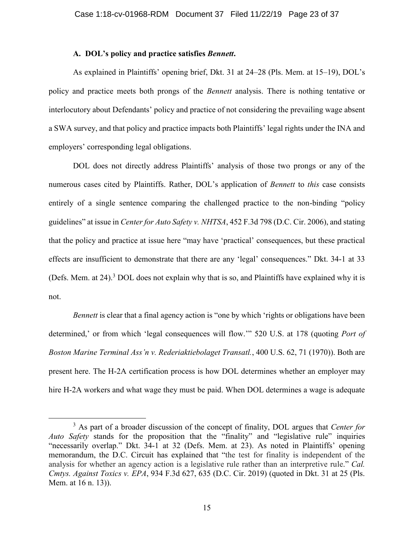### **A. DOL's policy and practice satisfies** *Bennett***.**

As explained in Plaintiffs' opening brief, Dkt. 31 at 24–28 (Pls. Mem. at 15–19), DOL's policy and practice meets both prongs of the *Bennett* analysis. There is nothing tentative or interlocutory about Defendants' policy and practice of not considering the prevailing wage absent a SWA survey, and that policy and practice impacts both Plaintiffs' legal rights under the INA and employers' corresponding legal obligations.

DOL does not directly address Plaintiffs' analysis of those two prongs or any of the numerous cases cited by Plaintiffs. Rather, DOL's application of *Bennett* to *this* case consists entirely of a single sentence comparing the challenged practice to the non-binding "policy guidelines" at issue in *Center for Auto Safety v. NHTSA*, 452 F.3d 798 (D.C. Cir. 2006), and stating that the policy and practice at issue here "may have 'practical' consequences, but these practical effects are insufficient to demonstrate that there are any 'legal' consequences." Dkt. 34-1 at 33 (Defs. Mem. at 24).<sup>3</sup> DOL does not explain why that is so, and Plaintiffs have explained why it is not.

*Bennett* is clear that a final agency action is "one by which 'rights or obligations have been determined,' or from which 'legal consequences will flow.'" 520 U.S. at 178 (quoting *Port of Boston Marine Terminal Ass'n v. Rederiaktiebolaget Transatl.*, 400 U.S. 62, 71 (1970)). Both are present here. The H-2A certification process is how DOL determines whether an employer may hire H-2A workers and what wage they must be paid. When DOL determines a wage is adequate

<sup>3</sup> As part of a broader discussion of the concept of finality, DOL argues that *Center for Auto Safety* stands for the proposition that the "finality" and "legislative rule" inquiries "necessarily overlap." Dkt. 34-1 at 32 (Defs. Mem. at 23). As noted in Plaintiffs' opening memorandum, the D.C. Circuit has explained that "the test for finality is independent of the analysis for whether an agency action is a legislative rule rather than an interpretive rule." *Cal. Cmtys. Against Toxics v. EPA*, 934 F.3d 627, 635 (D.C. Cir. 2019) (quoted in Dkt. 31 at 25 (Pls. Mem. at 16 n. 13)).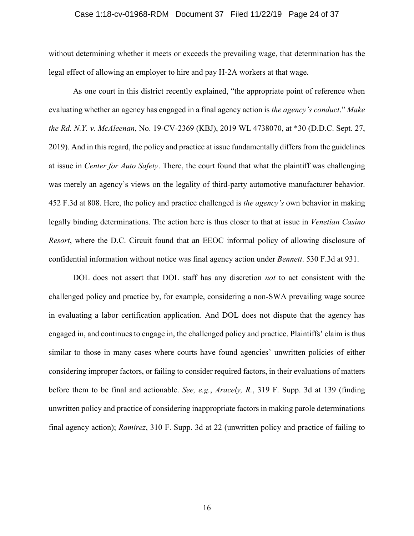#### Case 1:18-cv-01968-RDM Document 37 Filed 11/22/19 Page 24 of 37

without determining whether it meets or exceeds the prevailing wage, that determination has the legal effect of allowing an employer to hire and pay H-2A workers at that wage.

As one court in this district recently explained, "the appropriate point of reference when evaluating whether an agency has engaged in a final agency action is *the agency's conduct*." *Make the Rd. N.Y. v. McAleenan*, No. 19-CV-2369 (KBJ), 2019 WL 4738070, at \*30 (D.D.C. Sept. 27, 2019). And in this regard, the policy and practice at issue fundamentally differs from the guidelines at issue in *Center for Auto Safety*. There, the court found that what the plaintiff was challenging was merely an agency's views on the legality of third-party automotive manufacturer behavior. 452 F.3d at 808. Here, the policy and practice challenged is *the agency's* own behavior in making legally binding determinations. The action here is thus closer to that at issue in *Venetian Casino Resort*, where the D.C. Circuit found that an EEOC informal policy of allowing disclosure of confidential information without notice was final agency action under *Bennett*. 530 F.3d at 931.

DOL does not assert that DOL staff has any discretion *not* to act consistent with the challenged policy and practice by, for example, considering a non-SWA prevailing wage source in evaluating a labor certification application. And DOL does not dispute that the agency has engaged in, and continues to engage in, the challenged policy and practice. Plaintiffs' claim is thus similar to those in many cases where courts have found agencies' unwritten policies of either considering improper factors, or failing to consider required factors, in their evaluations of matters before them to be final and actionable. *See, e.g.*, *Aracely, R.*, 319 F. Supp. 3d at 139 (finding unwritten policy and practice of considering inappropriate factors in making parole determinations final agency action); *Ramirez*, 310 F. Supp. 3d at 22 (unwritten policy and practice of failing to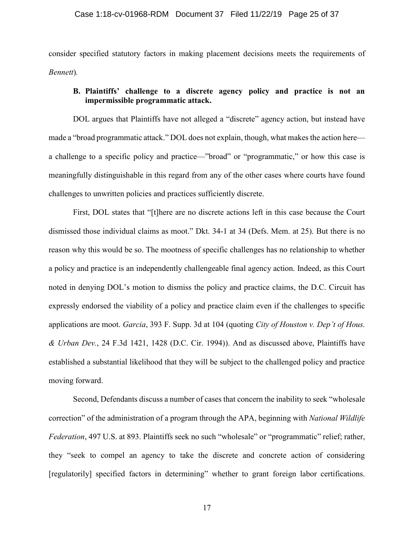#### Case 1:18-cv-01968-RDM Document 37 Filed 11/22/19 Page 25 of 37

consider specified statutory factors in making placement decisions meets the requirements of *Bennett*)*.*

# **B. Plaintiffs' challenge to a discrete agency policy and practice is not an impermissible programmatic attack.**

DOL argues that Plaintiffs have not alleged a "discrete" agency action, but instead have made a "broad programmatic attack." DOL does not explain, though, what makes the action here a challenge to a specific policy and practice—"broad" or "programmatic," or how this case is meaningfully distinguishable in this regard from any of the other cases where courts have found challenges to unwritten policies and practices sufficiently discrete.

First, DOL states that "[t]here are no discrete actions left in this case because the Court dismissed those individual claims as moot." Dkt. 34-1 at 34 (Defs. Mem. at 25). But there is no reason why this would be so. The mootness of specific challenges has no relationship to whether a policy and practice is an independently challengeable final agency action. Indeed, as this Court noted in denying DOL's motion to dismiss the policy and practice claims, the D.C. Circuit has expressly endorsed the viability of a policy and practice claim even if the challenges to specific applications are moot. *Garcia*, 393 F. Supp. 3d at 104 (quoting *City of Houston v. Dep't of Hous. & Urban Dev.*, 24 F.3d 1421, 1428 (D.C. Cir. 1994)). And as discussed above, Plaintiffs have established a substantial likelihood that they will be subject to the challenged policy and practice moving forward.

Second, Defendants discuss a number of cases that concern the inability to seek "wholesale correction" of the administration of a program through the APA, beginning with *National Wildlife Federation*, 497 U.S. at 893. Plaintiffs seek no such "wholesale" or "programmatic" relief; rather, they "seek to compel an agency to take the discrete and concrete action of considering [regulatorily] specified factors in determining" whether to grant foreign labor certifications.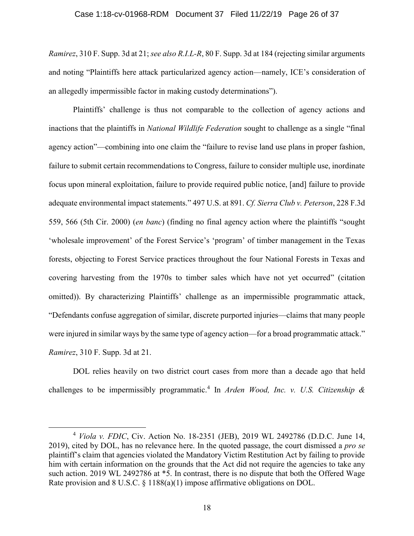#### Case 1:18-cv-01968-RDM Document 37 Filed 11/22/19 Page 26 of 37

*Ramirez*, 310 F. Supp. 3d at 21; *see also R.I.L-R*, 80 F. Supp. 3d at 184 (rejecting similar arguments and noting "Plaintiffs here attack particularized agency action—namely, ICE's consideration of an allegedly impermissible factor in making custody determinations").

Plaintiffs' challenge is thus not comparable to the collection of agency actions and inactions that the plaintiffs in *National Wildlife Federation* sought to challenge as a single "final agency action"—combining into one claim the "failure to revise land use plans in proper fashion, failure to submit certain recommendations to Congress, failure to consider multiple use, inordinate focus upon mineral exploitation, failure to provide required public notice, [and] failure to provide adequate environmental impact statements." 497 U.S. at 891. *Cf. Sierra Club v. Peterson*, 228 F.3d 559, 566 (5th Cir. 2000) (*en banc*) (finding no final agency action where the plaintiffs "sought 'wholesale improvement' of the Forest Service's 'program' of timber management in the Texas forests, objecting to Forest Service practices throughout the four National Forests in Texas and covering harvesting from the 1970s to timber sales which have not yet occurred" (citation omitted)). By characterizing Plaintiffs' challenge as an impermissible programmatic attack, "Defendants confuse aggregation of similar, discrete purported injuries—claims that many people were injured in similar ways by the same type of agency action—for a broad programmatic attack." *Ramirez*, 310 F. Supp. 3d at 21.

DOL relies heavily on two district court cases from more than a decade ago that held challenges to be impermissibly programmatic.<sup>4</sup> In *Arden Wood, Inc. v. U.S. Citizenship &* 

<sup>4</sup> *Viola v. FDIC*, Civ. Action No. 18-2351 (JEB), 2019 WL 2492786 (D.D.C. June 14, 2019), cited by DOL, has no relevance here. In the quoted passage, the court dismissed a *pro se*  plaintiff's claim that agencies violated the Mandatory Victim Restitution Act by failing to provide him with certain information on the grounds that the Act did not require the agencies to take any such action. 2019 WL 2492786 at  $*5$ . In contrast, there is no dispute that both the Offered Wage Rate provision and 8 U.S.C. § 1188(a)(1) impose affirmative obligations on DOL.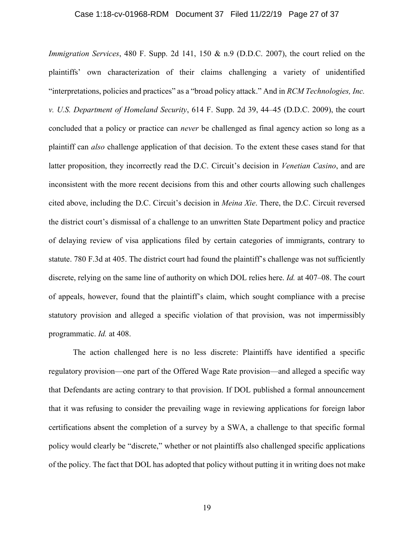#### Case 1:18-cv-01968-RDM Document 37 Filed 11/22/19 Page 27 of 37

*Immigration Services*, 480 F. Supp. 2d 141, 150 & n.9 (D.D.C. 2007), the court relied on the plaintiffs' own characterization of their claims challenging a variety of unidentified "interpretations, policies and practices" as a "broad policy attack." And in *RCM Technologies, Inc. v. U.S. Department of Homeland Security*, 614 F. Supp. 2d 39, 44–45 (D.D.C. 2009), the court concluded that a policy or practice can *never* be challenged as final agency action so long as a plaintiff can *also* challenge application of that decision. To the extent these cases stand for that latter proposition, they incorrectly read the D.C. Circuit's decision in *Venetian Casino*, and are inconsistent with the more recent decisions from this and other courts allowing such challenges cited above, including the D.C. Circuit's decision in *Meina Xie*. There, the D.C. Circuit reversed the district court's dismissal of a challenge to an unwritten State Department policy and practice of delaying review of visa applications filed by certain categories of immigrants, contrary to statute. 780 F.3d at 405. The district court had found the plaintiff's challenge was not sufficiently discrete, relying on the same line of authority on which DOL relies here. *Id.* at 407–08. The court of appeals, however, found that the plaintiff's claim, which sought compliance with a precise statutory provision and alleged a specific violation of that provision, was not impermissibly programmatic. *Id.* at 408.

The action challenged here is no less discrete: Plaintiffs have identified a specific regulatory provision—one part of the Offered Wage Rate provision—and alleged a specific way that Defendants are acting contrary to that provision. If DOL published a formal announcement that it was refusing to consider the prevailing wage in reviewing applications for foreign labor certifications absent the completion of a survey by a SWA, a challenge to that specific formal policy would clearly be "discrete," whether or not plaintiffs also challenged specific applications of the policy. The fact that DOL has adopted that policy without putting it in writing does not make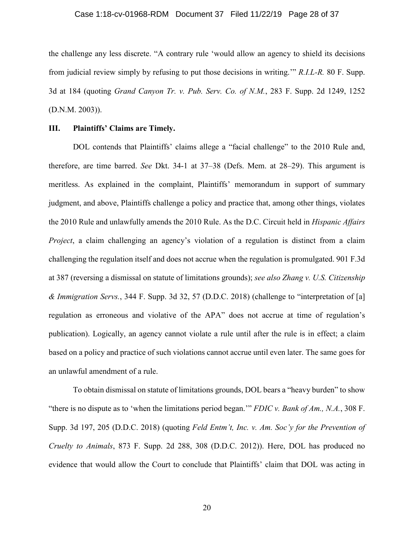#### Case 1:18-cv-01968-RDM Document 37 Filed 11/22/19 Page 28 of 37

the challenge any less discrete. "A contrary rule 'would allow an agency to shield its decisions from judicial review simply by refusing to put those decisions in writing.'" *R.I.L-R.* 80 F. Supp. 3d at 184 (quoting *Grand Canyon Tr. v. Pub. Serv. Co. of N.M.*, 283 F. Supp. 2d 1249, 1252 (D.N.M. 2003)).

### **III. Plaintiffs' Claims are Timely.**

DOL contends that Plaintiffs' claims allege a "facial challenge" to the 2010 Rule and, therefore, are time barred. *See* Dkt. 34-1 at 37–38 (Defs. Mem. at 28–29). This argument is meritless. As explained in the complaint, Plaintiffs' memorandum in support of summary judgment, and above, Plaintiffs challenge a policy and practice that, among other things, violates the 2010 Rule and unlawfully amends the 2010 Rule. As the D.C. Circuit held in *Hispanic Affairs Project*, a claim challenging an agency's violation of a regulation is distinct from a claim challenging the regulation itself and does not accrue when the regulation is promulgated. 901 F.3d at 387 (reversing a dismissal on statute of limitations grounds); *see also Zhang v. U.S. Citizenship & Immigration Servs.*, 344 F. Supp. 3d 32, 57 (D.D.C. 2018) (challenge to "interpretation of [a] regulation as erroneous and violative of the APA" does not accrue at time of regulation's publication). Logically, an agency cannot violate a rule until after the rule is in effect; a claim based on a policy and practice of such violations cannot accrue until even later. The same goes for an unlawful amendment of a rule.

To obtain dismissal on statute of limitations grounds, DOL bears a "heavy burden" to show "there is no dispute as to 'when the limitations period began.'" *FDIC v. Bank of Am., N.A.*, 308 F. Supp. 3d 197, 205 (D.D.C. 2018) (quoting *Feld Entm't, Inc. v. Am. Soc'y for the Prevention of Cruelty to Animals*, 873 F. Supp. 2d 288, 308 (D.D.C. 2012)). Here, DOL has produced no evidence that would allow the Court to conclude that Plaintiffs' claim that DOL was acting in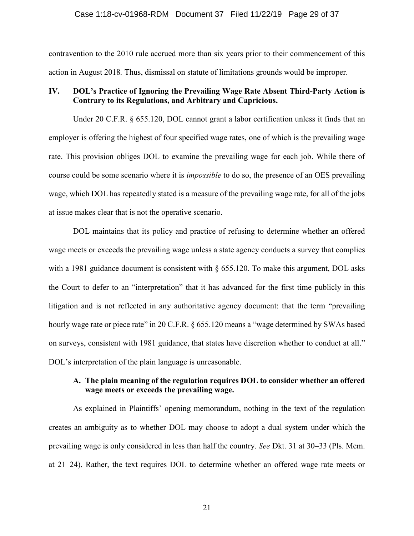#### Case 1:18-cv-01968-RDM Document 37 Filed 11/22/19 Page 29 of 37

contravention to the 2010 rule accrued more than six years prior to their commencement of this action in August 2018*.* Thus, dismissal on statute of limitations grounds would be improper.

# **IV. DOL's Practice of Ignoring the Prevailing Wage Rate Absent Third-Party Action is Contrary to its Regulations, and Arbitrary and Capricious.**

Under 20 C.F.R. § 655.120, DOL cannot grant a labor certification unless it finds that an employer is offering the highest of four specified wage rates, one of which is the prevailing wage rate. This provision obliges DOL to examine the prevailing wage for each job. While there of course could be some scenario where it is *impossible* to do so, the presence of an OES prevailing wage, which DOL has repeatedly stated is a measure of the prevailing wage rate, for all of the jobs at issue makes clear that is not the operative scenario.

DOL maintains that its policy and practice of refusing to determine whether an offered wage meets or exceeds the prevailing wage unless a state agency conducts a survey that complies with a 1981 guidance document is consistent with § 655.120. To make this argument, DOL asks the Court to defer to an "interpretation" that it has advanced for the first time publicly in this litigation and is not reflected in any authoritative agency document: that the term "prevailing hourly wage rate or piece rate" in 20 C.F.R. § 655.120 means a "wage determined by SWAs based on surveys, consistent with 1981 guidance, that states have discretion whether to conduct at all." DOL's interpretation of the plain language is unreasonable.

## **A. The plain meaning of the regulation requires DOL to consider whether an offered wage meets or exceeds the prevailing wage.**

As explained in Plaintiffs' opening memorandum, nothing in the text of the regulation creates an ambiguity as to whether DOL may choose to adopt a dual system under which the prevailing wage is only considered in less than half the country. *See* Dkt. 31 at 30–33 (Pls. Mem. at 21–24). Rather, the text requires DOL to determine whether an offered wage rate meets or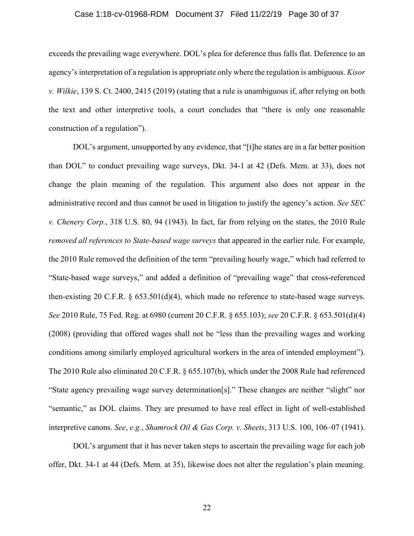#### Case 1:18-cv-01968-RDM Document 37 Filed 11/22/19 Page 30 of 37

exceeds the prevailing wage everywhere. DOL's plea for deference thus falls flat. Deference to an agency's interpretation of a regulation is appropriate only where the regulation is ambiguous. *Kisor v. Wilkie*, 139 S. Ct. 2400, 2415 (2019) (stating that a rule is unambiguous if, after relying on both the text and other interpretive tools, a court concludes that "there is only one reasonable construction of a regulation").

DOL's argument, unsupported by any evidence, that "[t]he states are in a far better position than DOL" to conduct prevailing wage surveys, Dkt. 34-1 at 42 (Defs. Mem. at 33), does not change the plain meaning of the regulation. This argument also does not appear in the administrative record and thus cannot be used in litigation to justify the agency's action. *See SEC v. Chenery Corp.*, 318 U.S. 80, 94 (1943). In fact, far from relying on the states, the 2010 Rule *removed all references to State-based wage surveys* that appeared in the earlier rule. For example, the 2010 Rule removed the definition of the term "prevailing hourly wage," which had referred to "State-based wage surveys," and added a definition of "prevailing wage" that cross-referenced then-existing 20 C.F.R. § 653.501(d)(4), which made no reference to state-based wage surveys. *See* 2010 Rule, 75 Fed. Reg. at 6980 (current 20 C.F.R. § 655.103); *see* 20 C.F.R. § 653.501(d)(4) (2008) (providing that offered wages shall not be "less than the prevailing wages and working conditions among similarly employed agricultural workers in the area of intended employment"). The 2010 Rule also eliminated 20 C.F.R. § 655.107(b), which under the 2008 Rule had referenced "State agency prevailing wage survey determination[s]." These changes are neither "slight" nor "semantic," as DOL claims. They are presumed to have real effect in light of well-established interpretive canons. *See*, *e.g.*, *Shamrock Oil & Gas Corp. v. Sheets*, 313 U.S. 100, 106–07 (1941).

DOL's argument that it has never taken steps to ascertain the prevailing wage for each job offer, Dkt. 34-1 at 44 (Defs. Mem. at 35), likewise does not alter the regulation's plain meaning.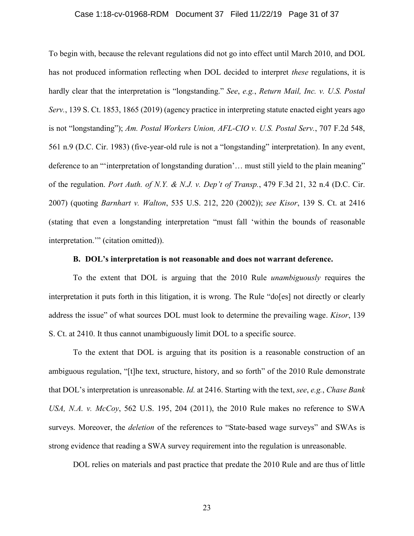#### Case 1:18-cv-01968-RDM Document 37 Filed 11/22/19 Page 31 of 37

To begin with, because the relevant regulations did not go into effect until March 2010, and DOL has not produced information reflecting when DOL decided to interpret *these* regulations, it is hardly clear that the interpretation is "longstanding." *See*, *e.g.*, *Return Mail, Inc. v. U.S. Postal Serv.*, 139 S. Ct. 1853, 1865 (2019) (agency practice in interpreting statute enacted eight years ago is not "longstanding"); *Am. Postal Workers Union, AFL-CIO v. U.S. Postal Serv.*, 707 F.2d 548, 561 n.9 (D.C. Cir. 1983) (five-year-old rule is not a "longstanding" interpretation). In any event, deference to an "'interpretation of longstanding duration'… must still yield to the plain meaning" of the regulation. *Port Auth. of N.Y. & N.J. v. Dep't of Transp.*, 479 F.3d 21, 32 n.4 (D.C. Cir. 2007) (quoting *Barnhart v. Walton*, 535 U.S. 212, 220 (2002)); *see Kisor*, 139 S. Ct. at 2416 (stating that even a longstanding interpretation "must fall 'within the bounds of reasonable interpretation." (citation omitted)).

#### **B. DOL's interpretation is not reasonable and does not warrant deference.**

To the extent that DOL is arguing that the 2010 Rule *unambiguously* requires the interpretation it puts forth in this litigation, it is wrong. The Rule "do[es] not directly or clearly address the issue" of what sources DOL must look to determine the prevailing wage. *Kisor*, 139 S. Ct. at 2410. It thus cannot unambiguously limit DOL to a specific source.

To the extent that DOL is arguing that its position is a reasonable construction of an ambiguous regulation, "[t]he text, structure, history, and so forth" of the 2010 Rule demonstrate that DOL's interpretation is unreasonable. *Id.* at 2416. Starting with the text, *see*, *e.g.*, *Chase Bank USA, N.A. v. McCoy*, 562 U.S. 195, 204 (2011), the 2010 Rule makes no reference to SWA surveys. Moreover, the *deletion* of the references to "State-based wage surveys" and SWAs is strong evidence that reading a SWA survey requirement into the regulation is unreasonable.

DOL relies on materials and past practice that predate the 2010 Rule and are thus of little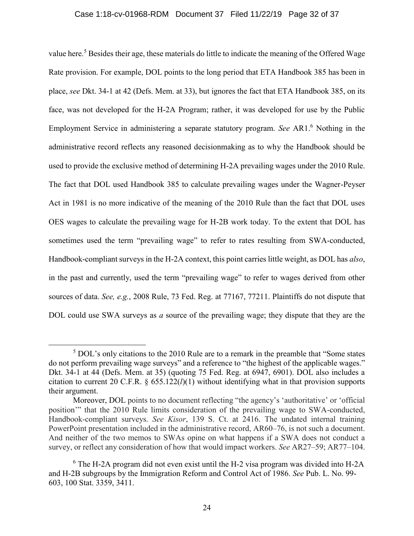#### Case 1:18-cv-01968-RDM Document 37 Filed 11/22/19 Page 32 of 37

value here.<sup>5</sup> Besides their age, these materials do little to indicate the meaning of the Offered Wage Rate provision. For example, DOL points to the long period that ETA Handbook 385 has been in place, *see* Dkt. 34-1 at 42 (Defs. Mem. at 33), but ignores the fact that ETA Handbook 385, on its face, was not developed for the H-2A Program; rather, it was developed for use by the Public Employment Service in administering a separate statutory program. *See* AR1.<sup>6</sup> Nothing in the administrative record reflects any reasoned decisionmaking as to why the Handbook should be used to provide the exclusive method of determining H-2A prevailing wages under the 2010 Rule. The fact that DOL used Handbook 385 to calculate prevailing wages under the Wagner-Peyser Act in 1981 is no more indicative of the meaning of the 2010 Rule than the fact that DOL uses OES wages to calculate the prevailing wage for H-2B work today. To the extent that DOL has sometimes used the term "prevailing wage" to refer to rates resulting from SWA-conducted, Handbook-compliant surveys in the H-2A context, this point carries little weight, as DOL has *also*, in the past and currently, used the term "prevailing wage" to refer to wages derived from other sources of data. *See, e.g.*, 2008 Rule, 73 Fed. Reg. at 77167, 77211. Plaintiffs do not dispute that DOL could use SWA surveys as *a* source of the prevailing wage; they dispute that they are the

<sup>&</sup>lt;sup>5</sup> DOL's only citations to the 2010 Rule are to a remark in the preamble that "Some states" do not perform prevailing wage surveys" and a reference to "the highest of the applicable wages." Dkt. 34-1 at 44 (Defs. Mem. at 35) (quoting 75 Fed. Reg. at 6947, 6901). DOL also includes a citation to current 20 C.F.R. § 655.122(*l*)(1) without identifying what in that provision supports their argument.

Moreover, DOL points to no document reflecting "the agency's 'authoritative' or 'official position'" that the 2010 Rule limits consideration of the prevailing wage to SWA-conducted, Handbook-compliant surveys. *See Kisor*, 139 S. Ct. at 2416. The undated internal training PowerPoint presentation included in the administrative record, AR60–76, is not such a document. And neither of the two memos to SWAs opine on what happens if a SWA does not conduct a survey, or reflect any consideration of how that would impact workers. *See* AR27–59; AR77–104.

<sup>6</sup> The H-2A program did not even exist until the H-2 visa program was divided into H-2A and H-2B subgroups by the Immigration Reform and Control Act of 1986. *See* Pub. L. No. 99- 603, 100 Stat. 3359, 3411.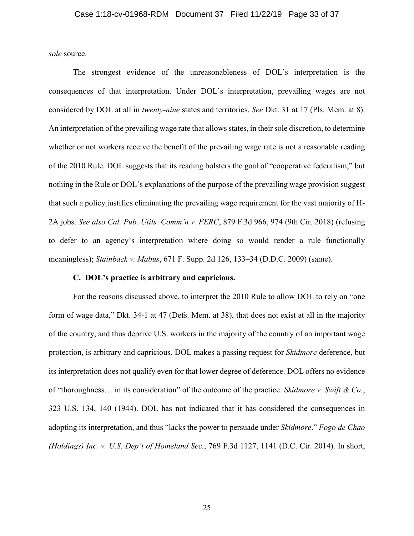*sole* source.

The strongest evidence of the unreasonableness of DOL's interpretation is the consequences of that interpretation. Under DOL's interpretation, prevailing wages are not considered by DOL at all in *twenty-nine* states and territories. *See* Dkt. 31 at 17 (Pls. Mem. at 8). An interpretation of the prevailing wage rate that allows states, in their sole discretion, to determine whether or not workers receive the benefit of the prevailing wage rate is not a reasonable reading of the 2010 Rule. DOL suggests that its reading bolsters the goal of "cooperative federalism," but nothing in the Rule or DOL's explanations of the purpose of the prevailing wage provision suggest that such a policy justifies eliminating the prevailing wage requirement for the vast majority of H-2A jobs. *See also Cal. Pub. Utils. Comm'n v. FERC*, 879 F.3d 966, 974 (9th Cir. 2018) (refusing to defer to an agency's interpretation where doing so would render a rule functionally meaningless); *Stainback v. Mabus*, 671 F. Supp. 2d 126, 133–34 (D.D.C. 2009) (same).

#### **C. DOL's practice is arbitrary and capricious.**

For the reasons discussed above, to interpret the 2010 Rule to allow DOL to rely on "one form of wage data," Dkt. 34-1 at 47 (Defs. Mem. at 38), that does not exist at all in the majority of the country, and thus deprive U.S. workers in the majority of the country of an important wage protection, is arbitrary and capricious. DOL makes a passing request for *Skidmore* deference, but its interpretation does not qualify even for that lower degree of deference. DOL offers no evidence of "thoroughness… in its consideration" of the outcome of the practice. *Skidmore v. Swift & Co.*, 323 U.S. 134, 140 (1944). DOL has not indicated that it has considered the consequences in adopting its interpretation, and thus "lacks the power to persuade under *Skidmore*." *Fogo de Chao (Holdings) Inc. v. U.S. Dep't of Homeland Sec.*, 769 F.3d 1127, 1141 (D.C. Cir. 2014). In short,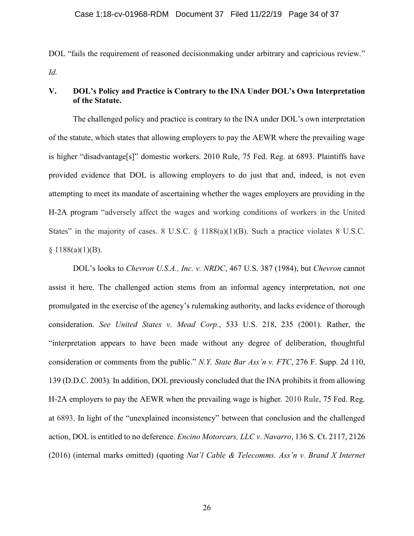DOL "fails the requirement of reasoned decisionmaking under arbitrary and capricious review." *Id.*

# **V. DOL's Policy and Practice is Contrary to the INA Under DOL's Own Interpretation of the Statute.**

The challenged policy and practice is contrary to the INA under DOL's own interpretation of the statute, which states that allowing employers to pay the AEWR where the prevailing wage is higher "disadvantage[s]" domestic workers. 2010 Rule, 75 Fed. Reg. at 6893. Plaintiffs have provided evidence that DOL is allowing employers to do just that and, indeed, is not even attempting to meet its mandate of ascertaining whether the wages employers are providing in the H-2A program "adversely affect the wages and working conditions of workers in the United States" in the majority of cases. 8 U.S.C. § 1188(a)(1)(B). Such a practice violates 8 U.S.C.  $§ 1188(a)(1)(B).$ 

DOL's looks to *Chevron U.S.A., Inc. v. NRDC*, 467 U.S. 387 (1984), but *Chevron* cannot assist it here. The challenged action stems from an informal agency interpretation, not one promulgated in the exercise of the agency's rulemaking authority, and lacks evidence of thorough consideration. *See United States v. Mead Corp.*, 533 U.S. 218, 235 (2001). Rather, the "interpretation appears to have been made without any degree of deliberation, thoughtful consideration or comments from the public." *N.Y. State Bar Ass'n v. FTC*, 276 F. Supp. 2d 110, 139 (D.D.C. 2003). In addition, DOL previously concluded that the INA prohibits it from allowing H-2A employers to pay the AEWR when the prevailing wage is higher. 2010 Rule, 75 Fed. Reg. at 6893. In light of the "unexplained inconsistency" between that conclusion and the challenged action, DOL is entitled to no deference. *Encino Motorcars, LLC v. Navarro*, 136 S. Ct. 2117, 2126 (2016) (internal marks omitted) (quoting *Nat'l Cable & Telecomms. Ass'n v. Brand X Internet*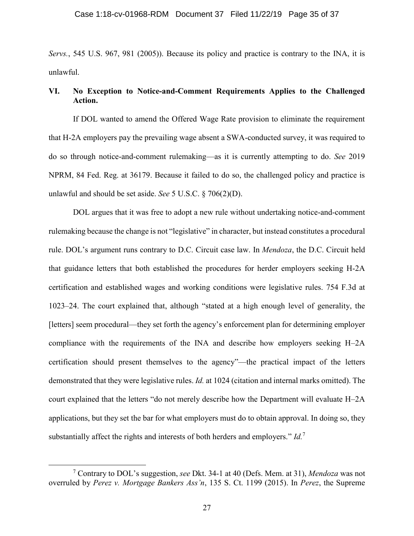*Servs.*, 545 U.S. 967, 981 (2005)). Because its policy and practice is contrary to the INA, it is unlawful.

# **VI. No Exception to Notice-and-Comment Requirements Applies to the Challenged Action.**

If DOL wanted to amend the Offered Wage Rate provision to eliminate the requirement that H-2A employers pay the prevailing wage absent a SWA-conducted survey, it was required to do so through notice-and-comment rulemaking—as it is currently attempting to do. *See* 2019 NPRM, 84 Fed. Reg. at 36179. Because it failed to do so, the challenged policy and practice is unlawful and should be set aside. *See* 5 U.S.C. § 706(2)(D).

DOL argues that it was free to adopt a new rule without undertaking notice-and-comment rulemaking because the change is not "legislative" in character, but instead constitutes a procedural rule. DOL's argument runs contrary to D.C. Circuit case law. In *Mendoza*, the D.C. Circuit held that guidance letters that both established the procedures for herder employers seeking H-2A certification and established wages and working conditions were legislative rules. 754 F.3d at 1023–24. The court explained that, although "stated at a high enough level of generality, the [letters] seem procedural—they set forth the agency's enforcement plan for determining employer compliance with the requirements of the INA and describe how employers seeking H–2A certification should present themselves to the agency"—the practical impact of the letters demonstrated that they were legislative rules. *Id.* at 1024 (citation and internal marks omitted). The court explained that the letters "do not merely describe how the Department will evaluate H–2A applications, but they set the bar for what employers must do to obtain approval. In doing so, they substantially affect the rights and interests of both herders and employers." *Id.*<sup>7</sup>

<sup>7</sup> Contrary to DOL's suggestion, *see* Dkt. 34-1 at 40 (Defs. Mem. at 31), *Mendoza* was not overruled by *Perez v. Mortgage Bankers Ass'n*, 135 S. Ct. 1199 (2015). In *Perez*, the Supreme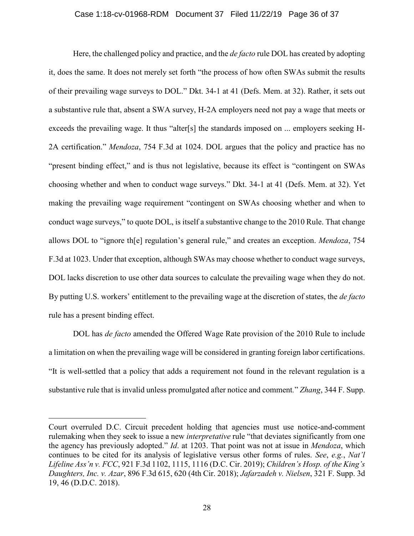#### Case 1:18-cv-01968-RDM Document 37 Filed 11/22/19 Page 36 of 37

Here, the challenged policy and practice, and the *de facto* rule DOL has created by adopting it, does the same. It does not merely set forth "the process of how often SWAs submit the results of their prevailing wage surveys to DOL." Dkt. 34-1 at 41 (Defs. Mem. at 32). Rather, it sets out a substantive rule that, absent a SWA survey, H-2A employers need not pay a wage that meets or exceeds the prevailing wage. It thus "alter[s] the standards imposed on ... employers seeking H-2A certification." *Mendoza*, 754 F.3d at 1024. DOL argues that the policy and practice has no "present binding effect," and is thus not legislative, because its effect is "contingent on SWAs choosing whether and when to conduct wage surveys." Dkt. 34-1 at 41 (Defs. Mem. at 32). Yet making the prevailing wage requirement "contingent on SWAs choosing whether and when to conduct wage surveys," to quote DOL, is itself a substantive change to the 2010 Rule. That change allows DOL to "ignore th[e] regulation's general rule," and creates an exception. *Mendoza*, 754 F.3d at 1023. Under that exception, although SWAs may choose whether to conduct wage surveys, DOL lacks discretion to use other data sources to calculate the prevailing wage when they do not. By putting U.S. workers' entitlement to the prevailing wage at the discretion of states, the *de facto* rule has a present binding effect.

DOL has *de facto* amended the Offered Wage Rate provision of the 2010 Rule to include a limitation on when the prevailing wage will be considered in granting foreign labor certifications. "It is well-settled that a policy that adds a requirement not found in the relevant regulation is a substantive rule that is invalid unless promulgated after notice and comment*.*" *Zhang*, 344 F. Supp.

Court overruled D.C. Circuit precedent holding that agencies must use notice-and-comment rulemaking when they seek to issue a new *interpretative* rule "that deviates significantly from one the agency has previously adopted." *Id*. at 1203. That point was not at issue in *Mendoza*, which continues to be cited for its analysis of legislative versus other forms of rules. *See*, *e.g.*, *Nat'l Lifeline Ass'n v. FCC*, 921 F.3d 1102, 1115, 1116 (D.C. Cir. 2019); *Children's Hosp. of the King's Daughters, Inc. v. Azar*, 896 F.3d 615, 620 (4th Cir. 2018); *Jafarzadeh v. Nielsen*, 321 F. Supp. 3d 19, 46 (D.D.C. 2018).